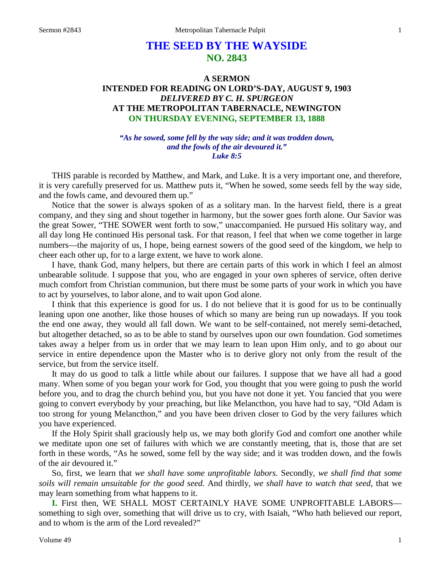# **THE SEED BY THE WAYSIDE NO. 2843**

## **A SERMON INTENDED FOR READING ON LORD'S-DAY, AUGUST 9, 1903** *DELIVERED BY C. H. SPURGEON* **AT THE METROPOLITAN TABERNACLE, NEWINGTON ON THURSDAY EVENING, SEPTEMBER 13, 1888**

#### *"As he sowed, some fell by the way side; and it was trodden down, and the fowls of the air devoured it." Luke 8:5*

THIS parable is recorded by Matthew, and Mark, and Luke. It is a very important one, and therefore, it is very carefully preserved for us. Matthew puts it, "When he sowed, some seeds fell by the way side, and the fowls came, and devoured them up."

Notice that the sower is always spoken of as a solitary man. In the harvest field, there is a great company, and they sing and shout together in harmony, but the sower goes forth alone. Our Savior was the great Sower, "THE SOWER went forth to sow," unaccompanied. He pursued His solitary way, and all day long He continued His personal task. For that reason, I feel that when we come together in large numbers—the majority of us, I hope, being earnest sowers of the good seed of the kingdom, we help to cheer each other up, for to a large extent, we have to work alone.

I have, thank God, many helpers, but there are certain parts of this work in which I feel an almost unbearable solitude. I suppose that you, who are engaged in your own spheres of service, often derive much comfort from Christian communion, but there must be some parts of your work in which you have to act by yourselves, to labor alone, and to wait upon God alone.

I think that this experience is good for us. I do not believe that it is good for us to be continually leaning upon one another, like those houses of which so many are being run up nowadays. If you took the end one away, they would all fall down. We want to be self-contained, not merely semi-detached, but altogether detached, so as to be able to stand by ourselves upon our own foundation. God sometimes takes away a helper from us in order that we may learn to lean upon Him only, and to go about our service in entire dependence upon the Master who is to derive glory not only from the result of the service, but from the service itself.

It may do us good to talk a little while about our failures. I suppose that we have all had a good many. When some of you began your work for God, you thought that you were going to push the world before you, and to drag the church behind you, but you have not done it yet. You fancied that you were going to convert everybody by your preaching, but like Melancthon, you have had to say, "Old Adam is too strong for young Melancthon," and you have been driven closer to God by the very failures which you have experienced.

If the Holy Spirit shall graciously help us, we may both glorify God and comfort one another while we meditate upon one set of failures with which we are constantly meeting, that is, those that are set forth in these words, "As he sowed, some fell by the way side; and it was trodden down, and the fowls of the air devoured it."

So, first, we learn that *we shall have some unprofitable labors.* Secondly, *we shall find that some soils will remain unsuitable for the good seed.* And thirdly, *we shall have to watch that seed,* that we may learn something from what happens to it.

**I.** First then, WE SHALL MOST CERTAINLY HAVE SOME UNPROFITABLE LABORSsomething to sigh over, something that will drive us to cry, with Isaiah, "Who hath believed our report, and to whom is the arm of the Lord revealed?"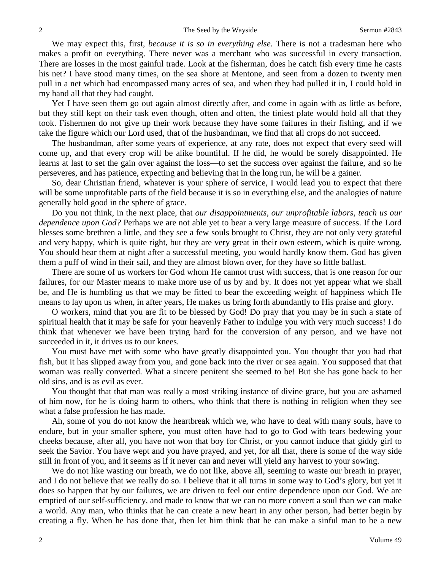We may expect this, first, *because it is so in everything else.* There is not a tradesman here who makes a profit on everything. There never was a merchant who was successful in every transaction. There are losses in the most gainful trade. Look at the fisherman, does he catch fish every time he casts his net? I have stood many times, on the sea shore at Mentone, and seen from a dozen to twenty men pull in a net which had encompassed many acres of sea, and when they had pulled it in, I could hold in my hand all that they had caught.

Yet I have seen them go out again almost directly after, and come in again with as little as before, but they still kept on their task even though, often and often, the tiniest plate would hold all that they took. Fishermen do not give up their work because they have some failures in their fishing, and if we take the figure which our Lord used, that of the husbandman, we find that all crops do not succeed.

The husbandman, after some years of experience, at any rate, does not expect that every seed will come up, and that every crop will be alike bountiful. If he did, he would be sorely disappointed. He learns at last to set the gain over against the loss—to set the success over against the failure, and so he perseveres, and has patience, expecting and believing that in the long run, he will be a gainer.

So, dear Christian friend, whatever is your sphere of service, I would lead you to expect that there will be some unprofitable parts of the field because it is so in everything else, and the analogies of nature generally hold good in the sphere of grace.

Do you not think, in the next place, that *our disappointments, our unprofitable labors, teach us our dependence upon God?* Perhaps we are not able yet to bear a very large measure of success. If the Lord blesses some brethren a little, and they see a few souls brought to Christ, they are not only very grateful and very happy, which is quite right, but they are very great in their own esteem, which is quite wrong. You should hear them at night after a successful meeting, you would hardly know them. God has given them a puff of wind in their sail, and they are almost blown over, for they have so little ballast.

There are some of us workers for God whom He cannot trust with success, that is one reason for our failures, for our Master means to make more use of us by and by. It does not yet appear what we shall be, and He is humbling us that we may be fitted to bear the exceeding weight of happiness which He means to lay upon us when, in after years, He makes us bring forth abundantly to His praise and glory.

O workers, mind that you are fit to be blessed by God! Do pray that you may be in such a state of spiritual health that it may be safe for your heavenly Father to indulge you with very much success! I do think that whenever we have been trying hard for the conversion of any person, and we have not succeeded in it, it drives us to our knees.

You must have met with some who have greatly disappointed you. You thought that you had that fish, but it has slipped away from you, and gone back into the river or sea again. You supposed that that woman was really converted. What a sincere penitent she seemed to be! But she has gone back to her old sins, and is as evil as ever.

You thought that that man was really a most striking instance of divine grace, but you are ashamed of him now, for he is doing harm to others, who think that there is nothing in religion when they see what a false profession he has made.

Ah, some of you do not know the heartbreak which we, who have to deal with many souls, have to endure, but in your smaller sphere, you must often have had to go to God with tears bedewing your cheeks because, after all, you have not won that boy for Christ, or you cannot induce that giddy girl to seek the Savior. You have wept and you have prayed, and yet, for all that, there is some of the way side still in front of you, and it seems as if it never can and never will yield any harvest to your sowing.

We do not like wasting our breath, we do not like, above all, seeming to waste our breath in prayer, and I do not believe that we really do so. I believe that it all turns in some way to God's glory, but yet it does so happen that by our failures, we are driven to feel our entire dependence upon our God. We are emptied of our self-sufficiency, and made to know that we can no more convert a soul than we can make a world. Any man, who thinks that he can create a new heart in any other person, had better begin by creating a fly. When he has done that, then let him think that he can make a sinful man to be a new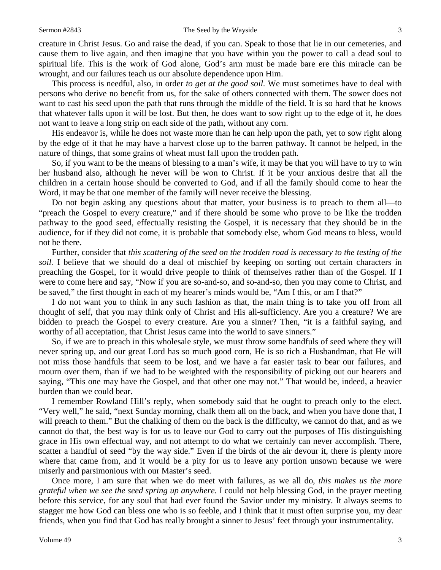creature in Christ Jesus. Go and raise the dead, if you can. Speak to those that lie in our cemeteries, and cause them to live again, and then imagine that you have within you the power to call a dead soul to spiritual life. This is the work of God alone, God's arm must be made bare ere this miracle can be wrought, and our failures teach us our absolute dependence upon Him.

This process is needful, also, in order *to get at the good soil.* We must sometimes have to deal with persons who derive no benefit from us, for the sake of others connected with them. The sower does not want to cast his seed upon the path that runs through the middle of the field. It is so hard that he knows that whatever falls upon it will be lost. But then, he does want to sow right up to the edge of it, he does not want to leave a long strip on each side of the path, without any corn.

His endeavor is, while he does not waste more than he can help upon the path, yet to sow right along by the edge of it that he may have a harvest close up to the barren pathway. It cannot be helped, in the nature of things, that some grains of wheat must fall upon the trodden path.

So, if you want to be the means of blessing to a man's wife, it may be that you will have to try to win her husband also, although he never will be won to Christ. If it be your anxious desire that all the children in a certain house should be converted to God, and if all the family should come to hear the Word, it may be that one member of the family will never receive the blessing.

Do not begin asking any questions about that matter, your business is to preach to them all—to "preach the Gospel to every creature," and if there should be some who prove to be like the trodden pathway to the good seed, effectually resisting the Gospel, it is necessary that they should be in the audience, for if they did not come, it is probable that somebody else, whom God means to bless, would not be there.

Further, consider that *this scattering of the seed on the trodden road is necessary to the testing of the soil.* I believe that we should do a deal of mischief by keeping on sorting out certain characters in preaching the Gospel, for it would drive people to think of themselves rather than of the Gospel. If I were to come here and say, "Now if you are so-and-so, and so-and-so, then you may come to Christ, and be saved," the first thought in each of my hearer's minds would be, "Am I this, or am I that?"

I do not want you to think in any such fashion as that, the main thing is to take you off from all thought of self, that you may think only of Christ and His all-sufficiency. Are you a creature? We are bidden to preach the Gospel to every creature. Are you a sinner? Then, "it is a faithful saying, and worthy of all acceptation, that Christ Jesus came into the world to save sinners."

So, if we are to preach in this wholesale style, we must throw some handfuls of seed where they will never spring up, and our great Lord has so much good corn, He is so rich a Husbandman, that He will not miss those handfuls that seem to be lost, and we have a far easier task to bear our failures, and mourn over them, than if we had to be weighted with the responsibility of picking out our hearers and saying, "This one may have the Gospel, and that other one may not." That would be, indeed, a heavier burden than we could bear.

I remember Rowland Hill's reply, when somebody said that he ought to preach only to the elect. "Very well," he said, "next Sunday morning, chalk them all on the back, and when you have done that, I will preach to them." But the chalking of them on the back is the difficulty, we cannot do that, and as we cannot do that, the best way is for us to leave our God to carry out the purposes of His distinguishing grace in His own effectual way, and not attempt to do what we certainly can never accomplish. There, scatter a handful of seed "by the way side." Even if the birds of the air devour it, there is plenty more where that came from, and it would be a pity for us to leave any portion unsown because we were miserly and parsimonious with our Master's seed.

Once more, I am sure that when we do meet with failures, as we all do, *this makes us the more grateful when we see the seed spring up anywhere.* I could not help blessing God, in the prayer meeting before this service, for any soul that had ever found the Savior under my ministry. It always seems to stagger me how God can bless one who is so feeble, and I think that it must often surprise you, my dear friends, when you find that God has really brought a sinner to Jesus' feet through your instrumentality.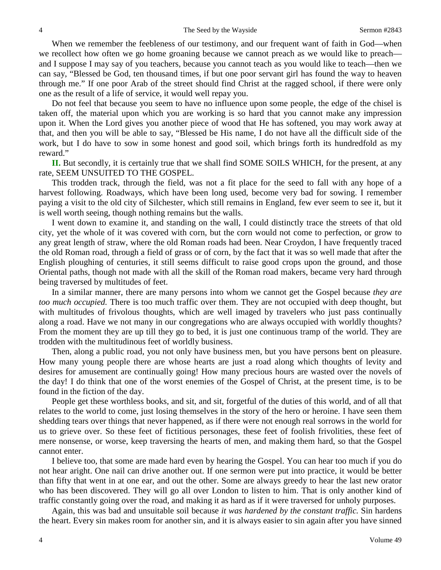When we remember the feebleness of our testimony, and our frequent want of faith in God—when we recollect how often we go home groaning because we cannot preach as we would like to preach and I suppose I may say of you teachers, because you cannot teach as you would like to teach—then we can say, "Blessed be God, ten thousand times, if but one poor servant girl has found the way to heaven through me." If one poor Arab of the street should find Christ at the ragged school, if there were only one as the result of a life of service, it would well repay you.

Do not feel that because you seem to have no influence upon some people, the edge of the chisel is taken off, the material upon which you are working is so hard that you cannot make any impression upon it. When the Lord gives you another piece of wood that He has softened, you may work away at that, and then you will be able to say, "Blessed be His name, I do not have all the difficult side of the work, but I do have to sow in some honest and good soil, which brings forth its hundredfold as my reward."

**II.** But secondly, it is certainly true that we shall find SOME SOILS WHICH, for the present, at any rate, SEEM UNSUITED TO THE GOSPEL.

This trodden track, through the field, was not a fit place for the seed to fall with any hope of a harvest following. Roadways, which have been long used, become very bad for sowing. I remember paying a visit to the old city of Silchester, which still remains in England, few ever seem to see it, but it is well worth seeing, though nothing remains but the walls.

I went down to examine it, and standing on the wall, I could distinctly trace the streets of that old city, yet the whole of it was covered with corn, but the corn would not come to perfection, or grow to any great length of straw, where the old Roman roads had been. Near Croydon, I have frequently traced the old Roman road, through a field of grass or of corn, by the fact that it was so well made that after the English ploughing of centuries, it still seems difficult to raise good crops upon the ground, and those Oriental paths, though not made with all the skill of the Roman road makers, became very hard through being traversed by multitudes of feet.

In a similar manner, there are many persons into whom we cannot get the Gospel because *they are too much occupied.* There is too much traffic over them. They are not occupied with deep thought, but with multitudes of frivolous thoughts, which are well imaged by travelers who just pass continually along a road. Have we not many in our congregations who are always occupied with worldly thoughts? From the moment they are up till they go to bed, it is just one continuous tramp of the world. They are trodden with the multitudinous feet of worldly business.

Then, along a public road, you not only have business men, but you have persons bent on pleasure. How many young people there are whose hearts are just a road along which thoughts of levity and desires for amusement are continually going! How many precious hours are wasted over the novels of the day! I do think that one of the worst enemies of the Gospel of Christ, at the present time, is to be found in the fiction of the day.

People get these worthless books, and sit, and sit, forgetful of the duties of this world, and of all that relates to the world to come, just losing themselves in the story of the hero or heroine. I have seen them shedding tears over things that never happened, as if there were not enough real sorrows in the world for us to grieve over. So these feet of fictitious personages, these feet of foolish frivolities, these feet of mere nonsense, or worse, keep traversing the hearts of men, and making them hard, so that the Gospel cannot enter.

I believe too, that some are made hard even by hearing the Gospel. You can hear too much if you do not hear aright. One nail can drive another out. If one sermon were put into practice, it would be better than fifty that went in at one ear, and out the other. Some are always greedy to hear the last new orator who has been discovered. They will go all over London to listen to him. That is only another kind of traffic constantly going over the road, and making it as hard as if it were traversed for unholy purposes.

Again, this was bad and unsuitable soil because *it was hardened by the constant traffic.* Sin hardens the heart. Every sin makes room for another sin, and it is always easier to sin again after you have sinned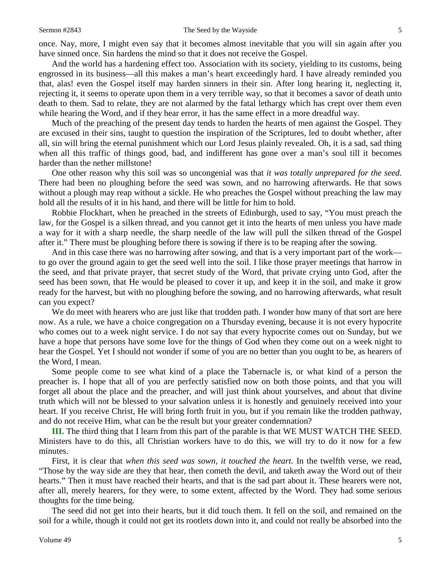once. Nay, more, I might even say that it becomes almost inevitable that you will sin again after you have sinned once. Sin hardens the mind so that it does not receive the Gospel.

And the world has a hardening effect too. Association with its society, yielding to its customs, being engrossed in its business—all this makes a man's heart exceedingly hard. I have already reminded you that, alas! even the Gospel itself may harden sinners in their sin. After long hearing it, neglecting it, rejecting it, it seems to operate upon them in a very terrible way, so that it becomes a savor of death unto death to them. Sad to relate, they are not alarmed by the fatal lethargy which has crept over them even while hearing the Word, and if they hear error, it has the same effect in a more dreadful way.

Much of the preaching of the present day tends to harden the hearts of men against the Gospel. They are excused in their sins, taught to question the inspiration of the Scriptures, led to doubt whether, after all, sin will bring the eternal punishment which our Lord Jesus plainly revealed. Oh, it is a sad, sad thing when all this traffic of things good, bad, and indifferent has gone over a man's soul till it becomes harder than the nether millstone!

One other reason why this soil was so uncongenial was that *it was totally unprepared for the seed.*  There had been no ploughing before the seed was sown, and no harrowing afterwards. He that sows without a plough may reap without a sickle. He who preaches the Gospel without preaching the law may hold all the results of it in his hand, and there will be little for him to hold.

Robbie Flockhart, when he preached in the streets of Edinburgh, used to say, "You must preach the law, for the Gospel is a silken thread, and you cannot get it into the hearts of men unless you have made a way for it with a sharp needle, the sharp needle of the law will pull the silken thread of the Gospel after it." There must be ploughing before there is sowing if there is to be reaping after the sowing.

And in this case there was no harrowing after sowing, and that is a very important part of the work to go over the ground again to get the seed well into the soil. I like those prayer meetings that harrow in the seed, and that private prayer, that secret study of the Word, that private crying unto God, after the seed has been sown, that He would be pleased to cover it up, and keep it in the soil, and make it grow ready for the harvest, but with no ploughing before the sowing, and no harrowing afterwards, what result can you expect?

We do meet with hearers who are just like that trodden path. I wonder how many of that sort are here now. As a rule, we have a choice congregation on a Thursday evening, because it is not every hypocrite who comes out to a week night service. I do not say that every hypocrite comes out on Sunday, but we have a hope that persons have some love for the things of God when they come out on a week night to hear the Gospel. Yet I should not wonder if some of you are no better than you ought to be, as hearers of the Word, I mean.

Some people come to see what kind of a place the Tabernacle is, or what kind of a person the preacher is. I hope that all of you are perfectly satisfied now on both those points, and that you will forget all about the place and the preacher, and will just think about yourselves, and about that divine truth which will not be blessed to your salvation unless it is honestly and genuinely received into your heart. If you receive Christ, He will bring forth fruit in you, but if you remain like the trodden pathway, and do not receive Him, what can be the result but your greater condemnation?

**III.** The third thing that I learn from this part of the parable is that WE MUST WATCH THE SEED. Ministers have to do this, all Christian workers have to do this, we will try to do it now for a few minutes.

First, it is clear that *when this seed was sown, it touched the heart.* In the twelfth verse, we read, "Those by the way side are they that hear, then cometh the devil, and taketh away the Word out of their hearts." Then it must have reached their hearts, and that is the sad part about it. These hearers were not, after all, merely hearers, for they were, to some extent, affected by the Word. They had some serious thoughts for the time being.

The seed did not get into their hearts, but it did touch them. It fell on the soil, and remained on the soil for a while, though it could not get its rootlets down into it, and could not really be absorbed into the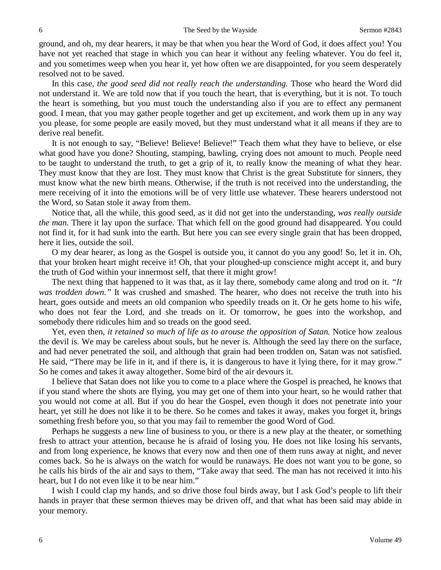ground, and oh, my dear hearers, it may be that when you hear the Word of God, it does affect you! You have not yet reached that stage in which you can hear it without any feeling whatever. You do feel it, and you sometimes weep when you hear it, yet how often we are disappointed, for you seem desperately resolved not to be saved.

In this case, *the good seed did not really reach the understanding.* Those who heard the Word did not understand it. We are told now that if you touch the heart, that is everything, but it is not. To touch the heart is something, but you must touch the understanding also if you are to effect any permanent good. I mean, that you may gather people together and get up excitement, and work them up in any way you please, for some people are easily moved, but they must understand what it all means if they are to derive real benefit.

It is not enough to say, "Believe! Believe! Believe!" Teach them what they have to believe, or else what good have you done? Shouting, stamping, bawling, crying does not amount to much. People need to be taught to understand the truth, to get a grip of it, to really know the meaning of what they hear. They must know that they are lost. They must know that Christ is the great Substitute for sinners, they must know what the new birth means. Otherwise, if the truth is not received into the understanding, the mere receiving of it into the emotions will be of very little use whatever. These hearers understood not the Word, so Satan stole it away from them.

Notice that, all the while, this good seed, as it did not get into the understanding, *was really outside the man.* There it lay upon the surface. That which fell on the good ground had disappeared. You could not find it, for it had sunk into the earth. But here you can see every single grain that has been dropped, here it lies, outside the soil.

O my dear hearer, as long as the Gospel is outside you, it cannot do you any good! So, let it in. Oh, that your broken heart might receive it! Oh, that your ploughed-up conscience might accept it, and bury the truth of God within your innermost self, that there it might grow!

The next thing that happened to it was that, as it lay there, somebody came along and trod on it. *"It was trodden down."* It was crushed and smashed. The hearer, who does not receive the truth into his heart, goes outside and meets an old companion who speedily treads on it. Or he gets home to his wife, who does not fear the Lord, and she treads on it. Or tomorrow, he goes into the workshop, and somebody there ridicules him and so treads on the good seed.

Yet, even then, *it retained so much of life as to arouse the opposition of Satan.* Notice how zealous the devil is. We may be careless about souls, but he never is. Although the seed lay there on the surface, and had never penetrated the soil, and although that grain had been trodden on, Satan was not satisfied. He said, "There may be life in it, and if there is, it is dangerous to have it lying there, for it may grow." So he comes and takes it away altogether. Some bird of the air devours it.

I believe that Satan does not like you to come to a place where the Gospel is preached, he knows that if you stand where the shots are flying, you may get one of them into your heart, so he would rather that you would not come at all. But if you do hear the Gospel, even though it does not penetrate into your heart, yet still he does not like it to be there. So he comes and takes it away, makes you forget it, brings something fresh before you, so that you may fail to remember the good Word of God.

Perhaps he suggests a new line of business to you, or there is a new play at the theater, or something fresh to attract your attention, because he is afraid of losing you. He does not like losing his servants, and from long experience, he knows that every now and then one of them runs away at night, and never comes back. So he is always on the watch for would be runaways. He does not want you to be gone, so he calls his birds of the air and says to them, "Take away that seed. The man has not received it into his heart, but I do not even like it to be near him."

I wish I could clap my hands, and so drive those foul birds away, but I ask God's people to lift their hands in prayer that these sermon thieves may be driven off, and that what has been said may abide in your memory.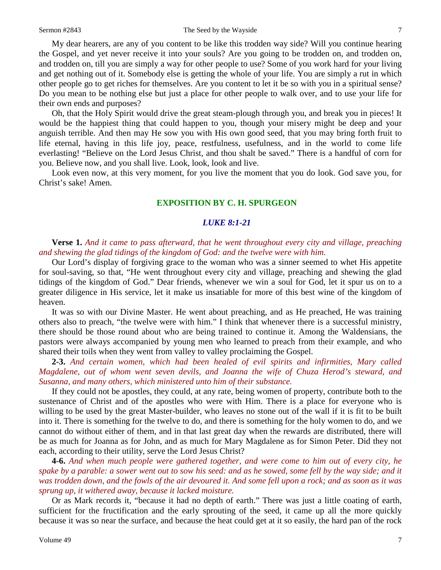#### Sermon #2843 The Seed by the Wayside 7

My dear hearers, are any of you content to be like this trodden way side? Will you continue hearing the Gospel, and yet never receive it into your souls? Are you going to be trodden on, and trodden on, and trodden on, till you are simply a way for other people to use? Some of you work hard for your living and get nothing out of it. Somebody else is getting the whole of your life. You are simply a rut in which other people go to get riches for themselves. Are you content to let it be so with you in a spiritual sense? Do you mean to be nothing else but just a place for other people to walk over, and to use your life for their own ends and purposes?

Oh, that the Holy Spirit would drive the great steam-plough through you, and break you in pieces! It would be the happiest thing that could happen to you, though your misery might be deep and your anguish terrible. And then may He sow you with His own good seed, that you may bring forth fruit to life eternal, having in this life joy, peace, restfulness, usefulness, and in the world to come life everlasting! "Believe on the Lord Jesus Christ, and thou shalt be saved." There is a handful of corn for you. Believe now, and you shall live. Look, look, look and live.

Look even now, at this very moment, for you live the moment that you do look. God save you, for Christ's sake! Amen.

## **EXPOSITION BY C. H. SPURGEON**

### *LUKE 8:1-21*

## **Verse 1.** *And it came to pass afterward, that he went throughout every city and village, preaching and shewing the glad tidings of the kingdom of God: and the twelve were with him.*

Our Lord's display of forgiving grace to the woman who was a sinner seemed to whet His appetite for soul-saving, so that, "He went throughout every city and village, preaching and shewing the glad tidings of the kingdom of God." Dear friends, whenever we win a soul for God, let it spur us on to a greater diligence in His service, let it make us insatiable for more of this best wine of the kingdom of heaven.

It was so with our Divine Master. He went about preaching, and as He preached, He was training others also to preach, "the twelve were with him." I think that whenever there is a successful ministry, there should be those round about who are being trained to continue it. Among the Waldensians, the pastors were always accompanied by young men who learned to preach from their example, and who shared their toils when they went from valley to valley proclaiming the Gospel.

**2-3.** *And certain women, which had been healed of evil spirits and infirmities, Mary called Magdalene, out of whom went seven devils, and Joanna the wife of Chuza Herod's steward, and Susanna, and many others, which ministered unto him of their substance.*

If they could not be apostles, they could, at any rate, being women of property, contribute both to the sustenance of Christ and of the apostles who were with Him. There is a place for everyone who is willing to be used by the great Master-builder, who leaves no stone out of the wall if it is fit to be built into it. There is something for the twelve to do, and there is something for the holy women to do, and we cannot do without either of them, and in that last great day when the rewards are distributed, there will be as much for Joanna as for John, and as much for Mary Magdalene as for Simon Peter. Did they not each, according to their utility, serve the Lord Jesus Christ?

**4-6.** *And when much people were gathered together, and were come to him out of every city, he spake by a parable: a sower went out to sow his seed: and as he sowed, some fell by the way side; and it was trodden down, and the fowls of the air devoured it. And some fell upon a rock; and as soon as it was sprung up, it withered away, because it lacked moisture.*

Or as Mark records it, "because it had no depth of earth." There was just a little coating of earth, sufficient for the fructification and the early sprouting of the seed, it came up all the more quickly because it was so near the surface, and because the heat could get at it so easily, the hard pan of the rock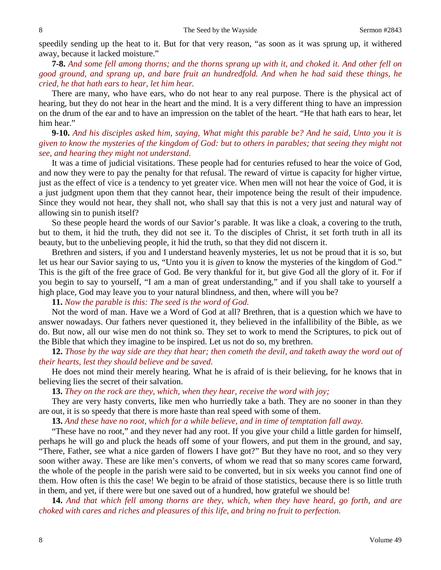speedily sending up the heat to it. But for that very reason, "as soon as it was sprung up, it withered away, because it lacked moisture."

**7-8.** *And some fell among thorns; and the thorns sprang up with it, and choked it. And other fell on good ground, and sprang up, and bare fruit an hundredfold. And when he had said these things, he cried, he that hath ears to hear, let him hear.*

There are many, who have ears, who do not hear to any real purpose. There is the physical act of hearing, but they do not hear in the heart and the mind. It is a very different thing to have an impression on the drum of the ear and to have an impression on the tablet of the heart. "He that hath ears to hear, let him hear."

**9-10.** *And his disciples asked him, saying, What might this parable be? And he said, Unto you it is given to know the mysteries of the kingdom of God: but to others in parables; that seeing they might not see, and hearing they might not understand.*

It was a time of judicial visitations. These people had for centuries refused to hear the voice of God, and now they were to pay the penalty for that refusal. The reward of virtue is capacity for higher virtue, just as the effect of vice is a tendency to yet greater vice. When men will not hear the voice of God, it is a just judgment upon them that they cannot hear, their impotence being the result of their impudence. Since they would not hear, they shall not, who shall say that this is not a very just and natural way of allowing sin to punish itself?

So these people heard the words of our Savior's parable. It was like a cloak, a covering to the truth, but to them, it hid the truth, they did not see it. To the disciples of Christ, it set forth truth in all its beauty, but to the unbelieving people, it hid the truth, so that they did not discern it.

Brethren and sisters, if you and I understand heavenly mysteries, let us not be proud that it is so, but let us hear our Savior saying to us, "Unto you it is *given* to know the mysteries of the kingdom of God." This is the gift of the free grace of God. Be very thankful for it, but give God all the glory of it. For if you begin to say to yourself, "I am a man of great understanding," and if you shall take to yourself a high place, God may leave you to your natural blindness, and then, where will you be?

**11.** *Now the parable is this: The seed is the word of God.*

Not the word of man. Have we a Word of God at all? Brethren, that is a question which we have to answer nowadays. Our fathers never questioned it, they believed in the infallibility of the Bible, as we do. But now, all our wise men do not think so. They set to work to mend the Scriptures, to pick out of the Bible that which they imagine to be inspired. Let us not do so, my brethren.

**12.** *Those by the way side are they that hear; then cometh the devil, and taketh away the word out of their hearts, lest they should believe and be saved.*

He does not mind their merely hearing. What he is afraid of is their believing, for he knows that in believing lies the secret of their salvation.

**13.** *They on the rock are they, which, when they hear, receive the word with joy;*

They are very hasty converts, like men who hurriedly take a bath. They are no sooner in than they are out, it is so speedy that there is more haste than real speed with some of them.

**13.** *And these have no root, which for a while believe, and in time of temptation fall away.*

"These have no root," and they never had any root. If you give your child a little garden for himself, perhaps he will go and pluck the heads off some of your flowers, and put them in the ground, and say, "There, Father, see what a nice garden of flowers I have got?" But they have no root, and so they very soon wither away. These are like men's converts, of whom we read that so many scores came forward, the whole of the people in the parish were said to be converted, but in six weeks you cannot find one of them. How often is this the case! We begin to be afraid of those statistics, because there is so little truth in them, and yet, if there were but one saved out of a hundred, how grateful we should be!

**14.** *And that which fell among thorns are they, which, when they have heard, go forth, and are choked with cares and riches and pleasures of this life, and bring no fruit to perfection.*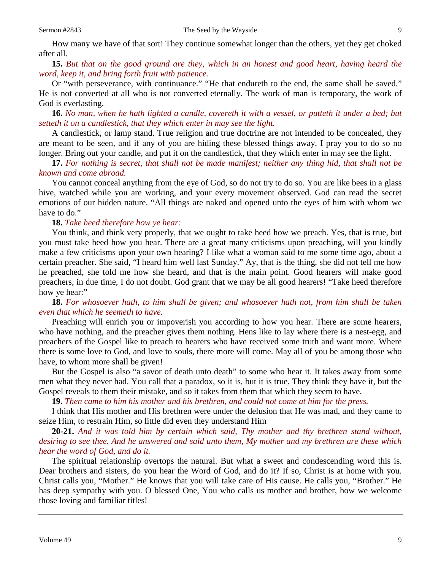How many we have of that sort! They continue somewhat longer than the others, yet they get choked after all.

**15.** *But that on the good ground are they, which in an honest and good heart, having heard the word, keep it, and bring forth fruit with patience.*

Or "with perseverance, with continuance." "He that endureth to the end, the same shall be saved." He is not converted at all who is not converted eternally. The work of man is temporary, the work of God is everlasting.

**16.** *No man, when he hath lighted a candle, covereth it with a vessel, or putteth it under a bed; but setteth it on a candlestick, that they which enter in may see the light.*

A candlestick, or lamp stand. True religion and true doctrine are not intended to be concealed, they are meant to be seen, and if any of you are hiding these blessed things away, I pray you to do so no longer. Bring out your candle, and put it on the candlestick, that they which enter in may see the light.

**17.** *For nothing is secret, that shall not be made manifest; neither any thing hid, that shall not be known and come abroad.*

You cannot conceal anything from the eye of God, so do not try to do so. You are like bees in a glass hive, watched while you are working, and your every movement observed. God can read the secret emotions of our hidden nature. "All things are naked and opened unto the eyes of him with whom we have to do."

#### **18.** *Take heed therefore how ye hear:*

You think, and think very properly, that we ought to take heed how we preach. Yes, that is true, but you must take heed how you hear. There are a great many criticisms upon preaching, will you kindly make a few criticisms upon your own hearing? I like what a woman said to me some time ago, about a certain preacher. She said, "I heard him well last Sunday." Ay, that is the thing, she did not tell me how he preached, she told me how she heard, and that is the main point. Good hearers will make good preachers, in due time, I do not doubt. God grant that we may be all good hearers! "Take heed therefore how ye hear:"

**18.** *For whosoever hath, to him shall be given; and whosoever hath not, from him shall be taken even that which he seemeth to have.*

Preaching will enrich you or impoverish you according to how you hear. There are some hearers, who have nothing, and the preacher gives them nothing. Hens like to lay where there is a nest-egg, and preachers of the Gospel like to preach to hearers who have received some truth and want more. Where there is some love to God, and love to souls, there more will come. May all of you be among those who have, to whom more shall be given!

But the Gospel is also "a savor of death unto death" to some who hear it. It takes away from some men what they never had. You call that a paradox, so it is, but it is true. They think they have it, but the Gospel reveals to them their mistake, and so it takes from them that which they seem to have.

**19.** *Then came to him his mother and his brethren, and could not come at him for the press.*

I think that His mother and His brethren were under the delusion that He was mad, and they came to seize Him, to restrain Him, so little did even they understand Him

**20-21.** *And it was told him by certain which said, Thy mother and thy brethren stand without, desiring to see thee. And he answered and said unto them, My mother and my brethren are these which hear the word of God, and do it.*

The spiritual relationship overtops the natural. But what a sweet and condescending word this is. Dear brothers and sisters, do you hear the Word of God, and do it? If so, Christ is at home with you. Christ calls you, "Mother." He knows that you will take care of His cause. He calls you, "Brother." He has deep sympathy with you. O blessed One, You who calls us mother and brother, how we welcome those loving and familiar titles!